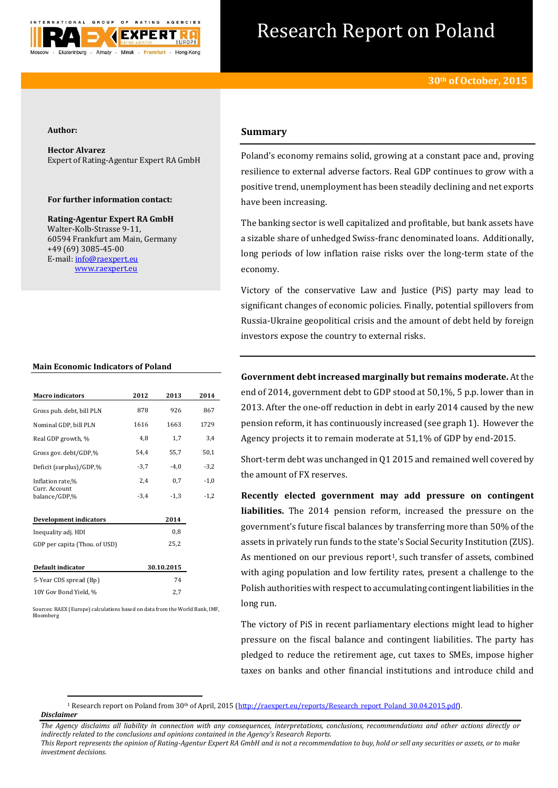

# Research Report on Poland

## **Author:**

**Hector Alvarez** Expert of Rating-Agentur Expert RA GmbH

## **For further information contact:**

**Rating-Agentur Expert RA GmbH** Walter-Kolb-Strasse 9-11, 60594 Frankfurt am Main, Germany +49 (69) 3085-45-00 E-mail[: info@raexpert.eu](mailto:info@raexpert.eu) [www.raexpert.eu](http://raexpert.eu/)

#### **Main Economic Indicators of Poland**

| <b>Macro</b> indicators        | 2012       | 2013   | 2014   |
|--------------------------------|------------|--------|--------|
| Gross pub. debt, bill PLN      | 878        | 926    | 867    |
| Nominal GDP, bill PLN          | 1616       | 1663   | 1729   |
| Real GDP growth, %             | 4,8        | 1,7    | 3,4    |
| Gross gov. debt/GDP,%          | 54,4       | 55,7   | 50,1   |
| Deficit (surplus)/GDP,%        | $-3,7$     | $-4,0$ | $-3,2$ |
| Inflation rate,%               | 2,4        | 0,7    | $-1,0$ |
| Curr. Account<br>balance/GDP,% | $-3,4$     | $-1.3$ | $-1,2$ |
| <b>Development indicators</b>  |            | 2014   |        |
| Inequality adj. HDI            |            | 0,8    |        |
| GDP per capita (Thou. of USD)  |            | 25,2   |        |
| Default indicator              | 30.10.2015 |        |        |
| 5-Year CDS spread (Bp)         |            | 74     |        |
| 10Y Gov Bond Yield, %          |            | 2,7    |        |

Sources: RAEX (Europe) calculations based on data from the World Bank, IMF, Bloomberg

**.** 

# **Summary**

Poland's economy remains solid, growing at a constant pace and, proving resilience to external adverse factors. Real GDP continues to grow with a positive trend, unemployment has been steadily declining and net exports have been increasing.

The banking sector is well capitalized and profitable, but bank assets have a sizable share of unhedged Swiss-franc denominated loans. Additionally, long periods of low inflation raise risks over the long-term state of the economy.

Victory of the conservative Law and Justice (PiS) party may lead to significant changes of economic policies. Finally, potential spillovers from Russia-Ukraine geopolitical crisis and the amount of debt held by foreign investors expose the country to external risks.

**Government debt increased marginally but remains moderate.** At the end of 2014, government debt to GDP stood at 50,1%, 5 p.p. lower than in 2013. After the one-off reduction in debt in early 2014 caused by the new pension reform, it has continuously increased (see graph 1). However the Agency projects it to remain moderate at 51,1% of GDP by end-2015.

Short-term debt was unchanged in Q1 2015 and remained well covered by the amount of FX reserves.

**Recently elected government may add pressure on contingent liabilities.** The 2014 pension reform, increased the pressure on the government's future fiscal balances by transferring more than 50% of the assets in privately run funds to the state's Social Security Institution (ZUS). As mentioned on our previous report<sup>1</sup>, such transfer of assets, combined with aging population and low fertility rates, present a challenge to the Polish authorities with respect to accumulating contingent liabilities in the long run.

The victory of PiS in recent parliamentary elections might lead to higher pressure on the fiscal balance and contingent liabilities. The party has pledged to reduce the retirement age, cut taxes to SMEs, impose higher taxes on banks and other financial institutions and introduce child and

*Disclaimer*  <sup>1</sup> Research report on Poland from 30<sup>th</sup> of April, 2015 [\(http://raexpert.eu/reports/Research\\_report\\_Poland\\_30.04.2015.pdf\)](http://raexpert.eu/reports/Research_report_Poland_30.04.2015.pdf).

*The Agency disclaims all liability in connection with any consequences, interpretations, conclusions, recommendations and other actions directly or indirectly related to the conclusions and opinions contained in the Agency's Research Reports.*

*This Report represents the opinion of Rating-Agentur Expert RA GmbH and is not a recommendation to buy, hold or sell any securities or assets, or to make investment decisions.*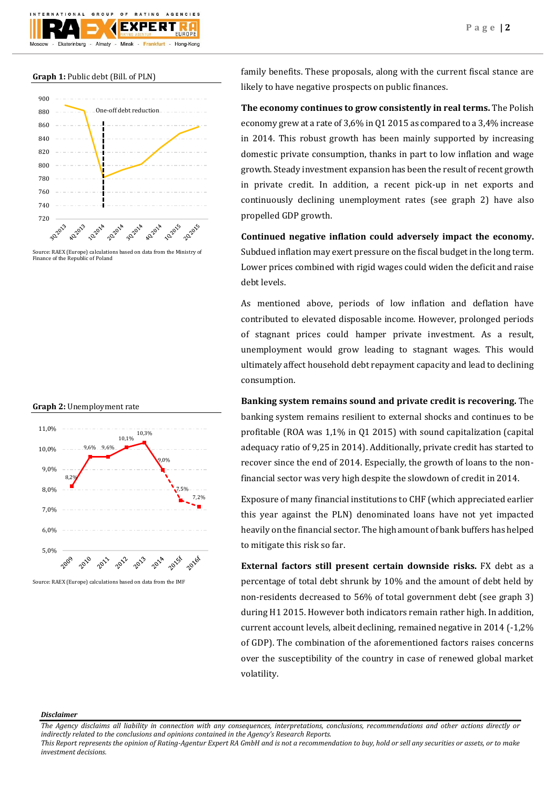# **Graph 1:** Public debt (Bill. of PLN)

Ekaterinburg

GROUP

Almaty



 $\Omega$ 

EXI

Frankfurt

Minsk

AGENCIES

Hong-Kong

#### **Graph 2:** Unemployment rate



family benefits. These proposals, along with the current fiscal stance are likely to have negative prospects on public finances.

**The economy continues to grow consistently in real terms.** The Polish economy grew at a rate of 3,6% in Q1 2015 as compared to a 3,4% increase in 2014. This robust growth has been mainly supported by increasing domestic private consumption, thanks in part to low inflation and wage growth. Steady investment expansion has been the result of recent growth in private credit. In addition, a recent pick-up in net exports and continuously declining unemployment rates (see graph 2) have also propelled GDP growth.

**Continued negative inflation could adversely impact the economy.** Subdued inflation may exert pressure on the fiscal budget in the long term. Lower prices combined with rigid wages could widen the deficit and raise debt levels.

As mentioned above, periods of low inflation and deflation have contributed to elevated disposable income. However, prolonged periods of stagnant prices could hamper private investment. As a result, unemployment would grow leading to stagnant wages. This would ultimately affect household debt repayment capacity and lead to declining consumption.

**Banking system remains sound and private credit is recovering.** The banking system remains resilient to external shocks and continues to be profitable (ROA was 1,1% in Q1 2015) with sound capitalization (capital adequacy ratio of 9,25 in 2014). Additionally, private credit has started to recover since the end of 2014. Especially, the growth of loans to the nonfinancial sector was very high despite the slowdown of credit in 2014.

Exposure of many financial institutions to CHF (which appreciated earlier this year against the PLN) denominated loans have not yet impacted heavily on the financial sector. The high amount of bank buffers has helped to mitigate this risk so far.

**External factors still present certain downside risks.** FX debt as a percentage of total debt shrunk by 10% and the amount of debt held by non-residents decreased to 56% of total government debt (see graph 3) during H1 2015. However both indicators remain rather high. In addition, current account levels, albeit declining, remained negative in 2014 (-1,2% of GDP). The combination of the aforementioned factors raises concerns over the susceptibility of the country in case of renewed global market volatility.

#### *Disclaimer*

*The Agency disclaims all liability in connection with any consequences, interpretations, conclusions, recommendations and other actions directly or indirectly related to the conclusions and opinions contained in the Agency's Research Reports.*

*This Report represents the opinion of Rating-Agentur Expert RA GmbH and is not a recommendation to buy, hold or sell any securities or assets, or to make investment decisions.*

Source: RAEX (Europe) calculations based on data from the Ministry of Finance of the Republic of Poland